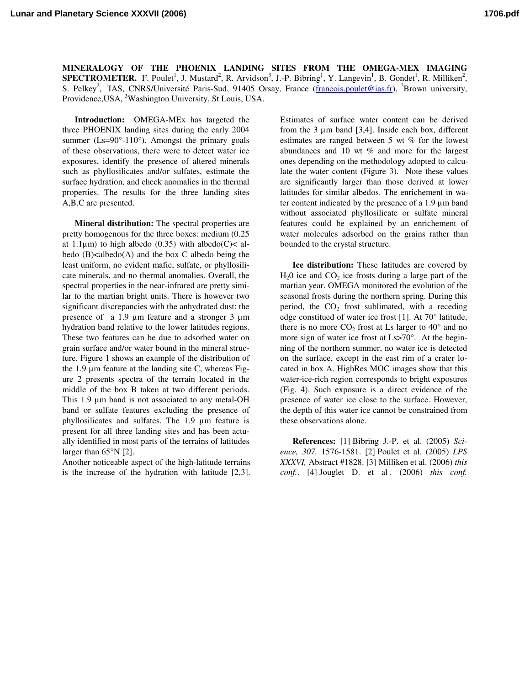**Lunar and Planetary Science XXXVII (2006) 1706.pdf**

**MINERALOGY OF THE PHOENIX LANDING SITES FROM THE OMEGA-MEX IMAGING SPECTROMETER.** F. Poulet<sup>1</sup>, J. Mustard<sup>2</sup>, R. Arvidson<sup>3</sup>, J.-P. Bibring<sup>1</sup>, Y. Langevin<sup>1</sup>, B. Gondet<sup>1</sup>, R. Milliken<sup>2</sup>, S. Pelkey<sup>2</sup>, <sup>1</sup>IAS, CNRS/Université Paris-Sud, 91405 Orsay, France (francois.poulet@ias.fr), <sup>2</sup>Brown university, Providence, USA, <sup>3</sup>Washington University, St Louis, USA.

**Introduction:** OMEGA-MEx has targeted the three PHOENIX landing sites during the early 2004 summer ( $Ls = 90^\circ - 110^\circ$ ). Amongst the primary goals of these observations, there were to detect water ice exposures, identify the presence of altered minerals such as phyllosilicates and/or sulfates, estimate the surface hydration, and check anomalies in the thermal properties. The results for the three landing sites A,B,C are presented.

**Mineral distribution:** The spectral properties are pretty homogenous for the three boxes: medium (0.25 at 1.1 $\mu$ m) to high albedo (0.35) with albedo(C)< albedo  $(B)$ <albedo $(A)$  and the box C albedo being the least uniform, no evident mafic, sulfate, or phyllosilicate minerals, and no thermal anomalies. Overall, the spectral properties in the near-infrared are pretty similar to the martian bright units. There is however two significant discrepancies with the anhydrated dust: the presence of a 1.9 µm feature and a stronger 3 µm hydration band relative to the lower latitudes regions. These two features can be due to adsorbed water on grain surface and/or water bound in the mineral structure. Figure 1 shows an example of the distribution of the 1.9 µm feature at the landing site C, whereas Figure 2 presents spectra of the terrain located in the middle of the box B taken at two different periods. This 1.9  $\mu$ m band is not associated to any metal-OH band or sulfate features excluding the presence of phyllosilicates and sulfates. The 1.9 µm feature is present for all three landing sites and has been actually identified in most parts of the terrains of latitudes larger than 65°N [2].

Another noticeable aspect of the high-latitude terrains is the increase of the hydration with latitude [2,3].

Estimates of surface water content can be derived from the  $3 \mu m$  band [3,4]. Inside each box, different estimates are ranged between 5 wt % for the lowest abundances and 10 wt % and more for the largest ones depending on the methodology adopted to calculate the water content (Figure 3). Note these values are significantly larger than those derived at lower latitudes for similar albedos. The enrichement in water content indicated by the presence of a 1.9 µm band without associated phyllosilicate or sulfate mineral features could be explained by an enrichement of water molecules adsorbed on the grains rather than bounded to the crystal structure.

**Ice distribution:** These latitudes are covered by  $H<sub>2</sub>0$  ice and  $CO<sub>2</sub>$  ice frosts during a large part of the martian year. OMEGA monitored the evolution of the seasonal frosts during the northern spring. During this period, the  $CO<sub>2</sub>$  frost sublimated, with a receding edge constitued of water ice frost [1]. At 70° latitude, there is no more  $CO<sub>2</sub>$  frost at Ls larger to 40 $^{\circ}$  and no more sign of water ice frost at Ls>70°. At the beginning of the northern summer, no water ice is detected on the surface, except in the east rim of a crater located in box A. HighRes MOC images show that this water-ice-rich region corresponds to bright exposures (Fig. 4). Such exposure is a direct evidence of the presence of water ice close to the surface. However, the depth of this water ice cannot be constrained from these observations alone.

**References:** [1] Bibring J.-P. et al. (2005) *Science, 307,* 1576-1581. [2] Poulet et al. (2005) *LPS XXXVI,* Abstract #1828. [3] Milliken et al. (2006) *this conf.*. [4] Jouglet D. et al . (2006) *this conf.*